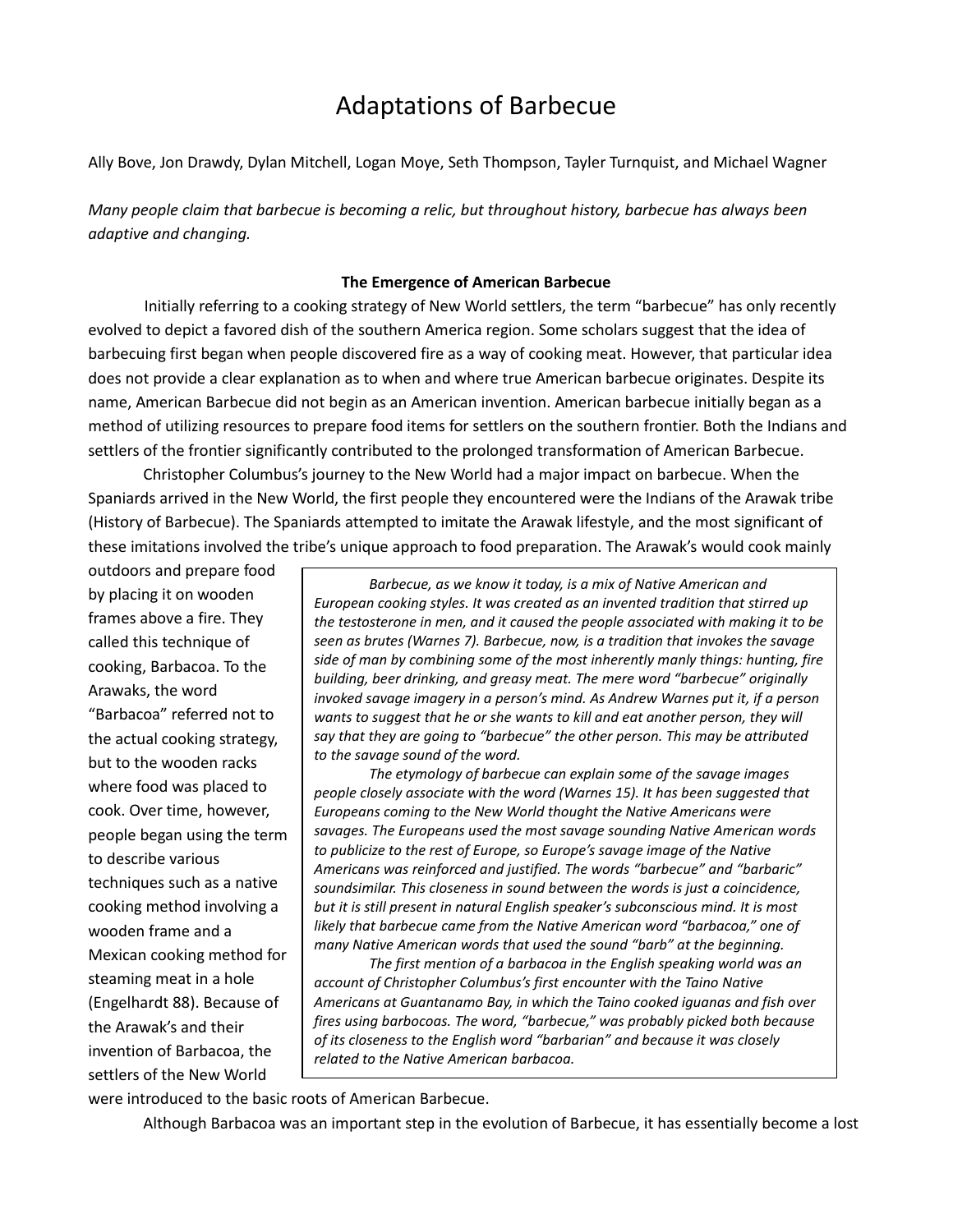# Adaptations of Barbecue

Ally Bove, Jon Drawdy, Dylan Mitchell, Logan Moye, Seth Thompson, Tayler Turnquist, and Michael Wagner

*Many people claim that barbecue is becoming a relic, but throughout history, barbecue has always been adaptive and changing.* 

# **The Emergence of American Barbecue**

Initially referring to a cooking strategy of New World settlers, the term "barbecue" has only recently evolved to depict a favored dish of the southern America region. Some scholars suggest that the idea of barbecuing first began when people discovered fire as a way of cooking meat. However, that particular idea does not provide a clear explanation as to when and where true American barbecue originates. Despite its name, American Barbecue did not begin as an American invention. American barbecue initially began as a method of utilizing resources to prepare food items for settlers on the southern frontier. Both the Indians and settlers of the frontier significantly contributed to the prolonged transformation of American Barbecue.

Christopher Columbus's journey to the New World had a major impact on barbecue. When the Spaniards arrived in the New World, the first people they encountered were the Indians of the Arawak tribe (History of Barbecue). The Spaniards attempted to imitate the Arawak lifestyle, and the most significant of these imitations involved the tribe's unique approach to food preparation. The Arawak's would cook mainly

outdoors and prepare food by placing it on wooden frames above a fire. They called this technique of cooking, Barbacoa. To the Arawaks, the word "Barbacoa" referred not to the actual cooking strategy, but to the wooden racks where food was placed to cook. Over time, however, people began using the term to describe various techniques such as a native cooking method involving a wooden frame and a Mexican cooking method for steaming meat in a hole (Engelhardt 88). Because of the Arawak's and their invention of Barbacoa, the settlers of the New World

*Barbecue, as we know it today, is a mix of Native American and European cooking styles. It was created as an invented tradition that stirred up the testosterone in men, and it caused the people associated with making it to be seen as brutes (Warnes 7). Barbecue, now, is a tradition that invokes the savage side of man by combining some of the most inherently manly things: hunting, fire building, beer drinking, and greasy meat. The mere word "barbecue" originally invoked savage imagery in a person's mind. As Andrew Warnes put it, if a person*  wants to suggest that he or she wants to kill and eat another person, they will *say that they are going to "barbecue" the other person. This may be attributed to the savage sound of the word.*

*The etymology of barbecue can explain some of the savage images people closely associate with the word (Warnes 15). It has been suggested that Europeans coming to the New World thought the Native Americans were savages. The Europeans used the most savage sounding Native American words to publicize to the rest of Europe, so Europe's savage image of the Native Americans was reinforced and justified. The words "barbecue" and "barbaric" soundsimilar. This closeness in sound between the words is just a coincidence, but it is still present in natural English speaker's subconscious mind. It is most likely that barbecue came from the Native American word "barbacoa," one of many Native American words that used the sound "barb" at the beginning.* 

*The first mention of a barbacoa in the English speaking world was an account of Christopher Columbus's first encounter with the Taino Native Americans at Guantanamo Bay, in which the Taino cooked iguanas and fish over fires using barbocoas. The word, "barbecue," was probably picked both because of its closeness to the English word "barbarian" and because it was closely related to the Native American barbacoa.*

were introduced to the basic roots of American Barbecue.

Although Barbacoa was an important step in the evolution of Barbecue, it has essentially become a lost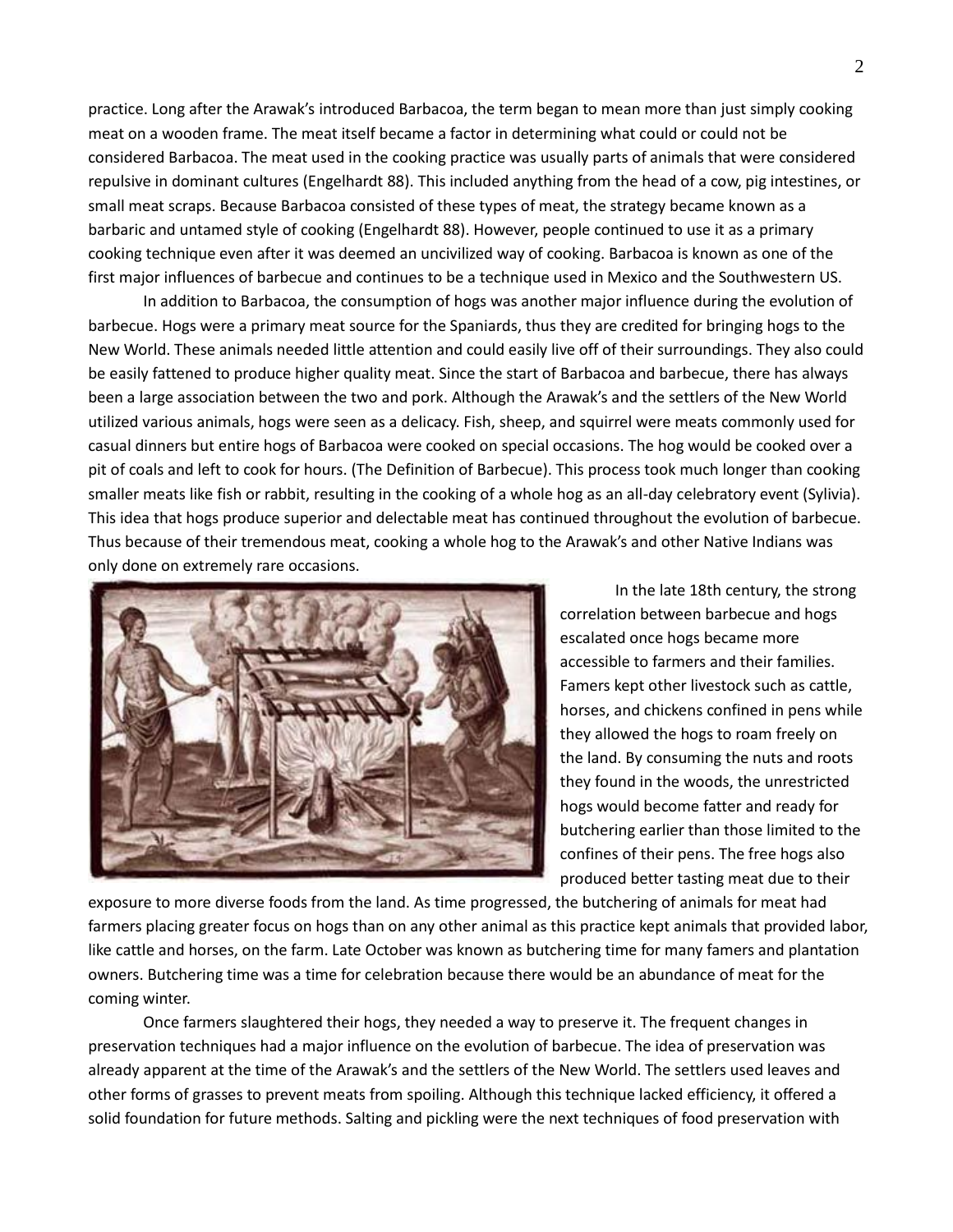practice. Long after the Arawak's introduced Barbacoa, the term began to mean more than just simply cooking meat on a wooden frame. The meat itself became a factor in determining what could or could not be considered Barbacoa. The meat used in the cooking practice was usually parts of animals that were considered repulsive in dominant cultures (Engelhardt 88). This included anything from the head of a cow, pig intestines, or small meat scraps. Because Barbacoa consisted of these types of meat, the strategy became known as a barbaric and untamed style of cooking (Engelhardt 88). However, people continued to use it as a primary cooking technique even after it was deemed an uncivilized way of cooking. Barbacoa is known as one of the first major influences of barbecue and continues to be a technique used in Mexico and the Southwestern US.

In addition to Barbacoa, the consumption of hogs was another major influence during the evolution of barbecue. Hogs were a primary meat source for the Spaniards, thus they are credited for bringing hogs to the New World. These animals needed little attention and could easily live off of their surroundings. They also could be easily fattened to produce higher quality meat. Since the start of Barbacoa and barbecue, there has always been a large association between the two and pork. Although the Arawak's and the settlers of the New World utilized various animals, hogs were seen as a delicacy. Fish, sheep, and squirrel were meats commonly used for casual dinners but entire hogs of Barbacoa were cooked on special occasions. The hog would be cooked over a pit of coals and left to cook for hours. (The Definition of Barbecue). This process took much longer than cooking smaller meats like fish or rabbit, resulting in the cooking of a whole hog as an all-day celebratory event (Sylivia). This idea that hogs produce superior and delectable meat has continued throughout the evolution of barbecue. Thus because of their tremendous meat, cooking a whole hog to the Arawak's and other Native Indians was only done on extremely rare occasions.



In the late 18th century, the strong correlation between barbecue and hogs escalated once hogs became more accessible to farmers and their families. Famers kept other livestock such as cattle, horses, and chickens confined in pens while they allowed the hogs to roam freely on the land. By consuming the nuts and roots they found in the woods, the unrestricted hogs would become fatter and ready for butchering earlier than those limited to the confines of their pens. The free hogs also produced better tasting meat due to their

exposure to more diverse foods from the land. As time progressed, the butchering of animals for meat had farmers placing greater focus on hogs than on any other animal as this practice kept animals that provided labor, like cattle and horses, on the farm. Late October was known as butchering time for many famers and plantation owners. Butchering time was a time for celebration because there would be an abundance of meat for the coming winter.

Once farmers slaughtered their hogs, they needed a way to preserve it. The frequent changes in preservation techniques had a major influence on the evolution of barbecue. The idea of preservation was already apparent at the time of the Arawak's and the settlers of the New World. The settlers used leaves and other forms of grasses to prevent meats from spoiling. Although this technique lacked efficiency, it offered a solid foundation for future methods. Salting and pickling were the next techniques of food preservation with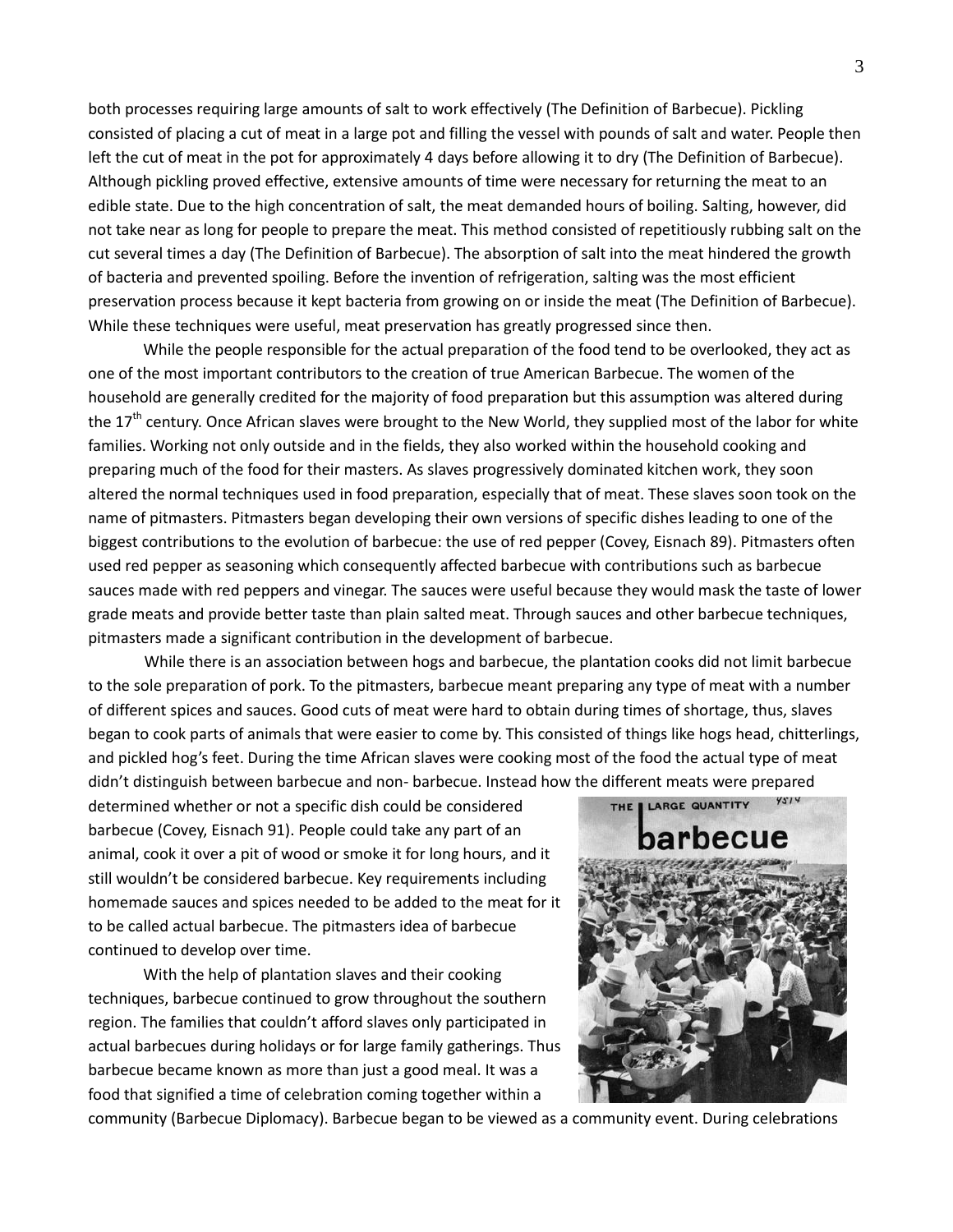both processes requiring large amounts of salt to work effectively (The Definition of Barbecue). Pickling consisted of placing a cut of meat in a large pot and filling the vessel with pounds of salt and water. People then left the cut of meat in the pot for approximately 4 days before allowing it to dry (The Definition of Barbecue). Although pickling proved effective, extensive amounts of time were necessary for returning the meat to an edible state. Due to the high concentration of salt, the meat demanded hours of boiling. Salting, however, did not take near as long for people to prepare the meat. This method consisted of repetitiously rubbing salt on the cut several times a day (The Definition of Barbecue). The absorption of salt into the meat hindered the growth of bacteria and prevented spoiling. Before the invention of refrigeration, salting was the most efficient preservation process because it kept bacteria from growing on or inside the meat (The Definition of Barbecue). While these techniques were useful, meat preservation has greatly progressed since then.

While the people responsible for the actual preparation of the food tend to be overlooked, they act as one of the most important contributors to the creation of true American Barbecue. The women of the household are generally credited for the majority of food preparation but this assumption was altered during the  $17<sup>th</sup>$  century. Once African slaves were brought to the New World, they supplied most of the labor for white families. Working not only outside and in the fields, they also worked within the household cooking and preparing much of the food for their masters. As slaves progressively dominated kitchen work, they soon altered the normal techniques used in food preparation, especially that of meat. These slaves soon took on the name of pitmasters. Pitmasters began developing their own versions of specific dishes leading to one of the biggest contributions to the evolution of barbecue: the use of red pepper (Covey, Eisnach 89). Pitmasters often used red pepper as seasoning which consequently affected barbecue with contributions such as barbecue sauces made with red peppers and vinegar. The sauces were useful because they would mask the taste of lower grade meats and provide better taste than plain salted meat. Through sauces and other barbecue techniques, pitmasters made a significant contribution in the development of barbecue.

While there is an association between hogs and barbecue, the plantation cooks did not limit barbecue to the sole preparation of pork. To the pitmasters, barbecue meant preparing any type of meat with a number of different spices and sauces. Good cuts of meat were hard to obtain during times of shortage, thus, slaves began to cook parts of animals that were easier to come by. This consisted of things like hogs head, chitterlings, and pickled hog's feet. During the time African slaves were cooking most of the food the actual type of meat didn't distinguish between barbecue and non- barbecue. Instead how the different meats were prepared

determined whether or not a specific dish could be considered barbecue (Covey, Eisnach 91). People could take any part of an animal, cook it over a pit of wood or smoke it for long hours, and it still wouldn't be considered barbecue. Key requirements including homemade sauces and spices needed to be added to the meat for it to be called actual barbecue. The pitmasters idea of barbecue continued to develop over time.

With the help of plantation slaves and their cooking techniques, barbecue continued to grow throughout the southern region. The families that couldn't afford slaves only participated in actual barbecues during holidays or for large family gatherings. Thus barbecue became known as more than just a good meal. It was a food that signified a time of celebration coming together within a



community (Barbecue Diplomacy). Barbecue began to be viewed as a community event. During celebrations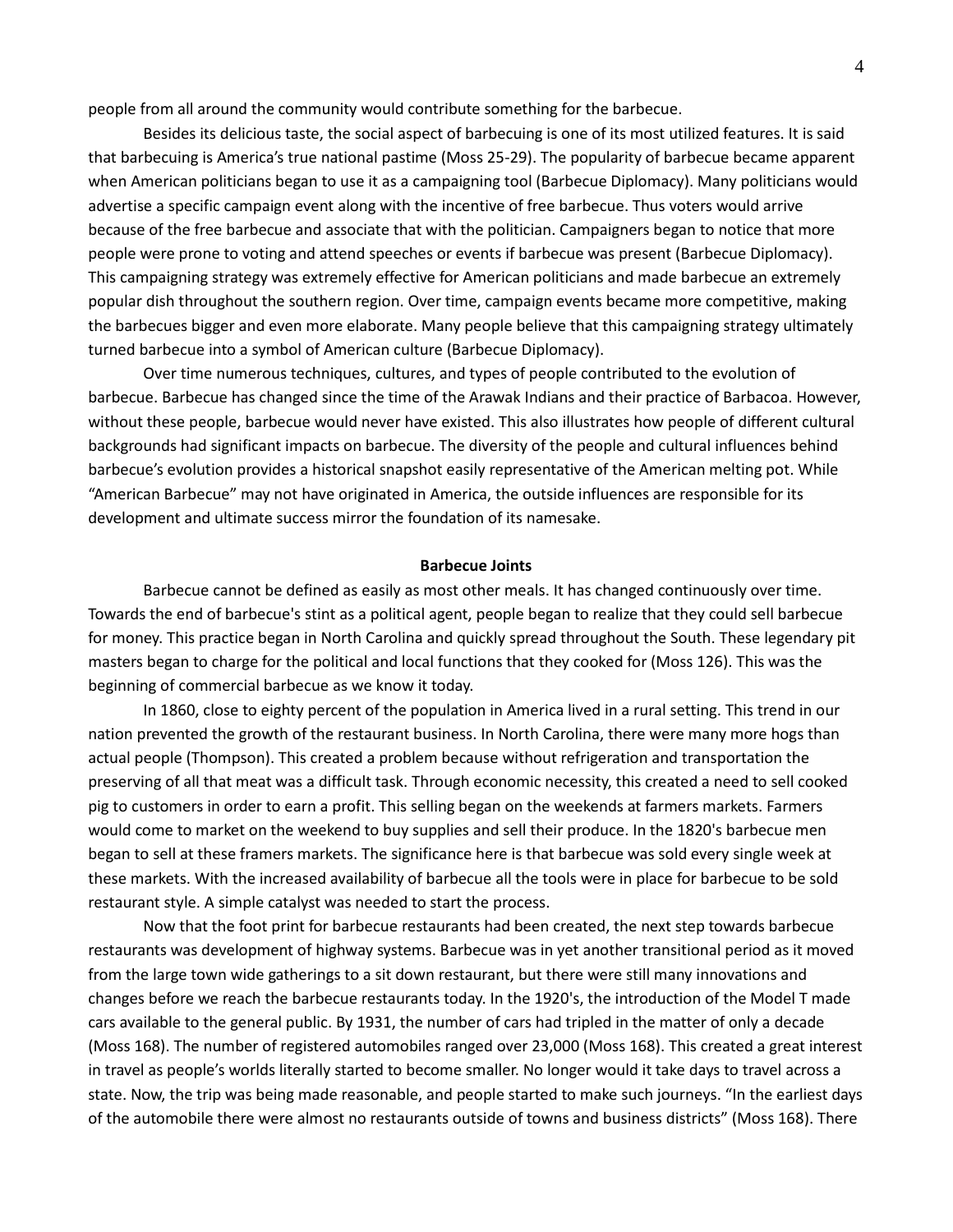people from all around the community would contribute something for the barbecue.

Besides its delicious taste, the social aspect of barbecuing is one of its most utilized features. It is said that barbecuing is America's true national pastime (Moss 25-29). The popularity of barbecue became apparent when American politicians began to use it as a campaigning tool (Barbecue Diplomacy). Many politicians would advertise a specific campaign event along with the incentive of free barbecue. Thus voters would arrive because of the free barbecue and associate that with the politician. Campaigners began to notice that more people were prone to voting and attend speeches or events if barbecue was present (Barbecue Diplomacy). This campaigning strategy was extremely effective for American politicians and made barbecue an extremely popular dish throughout the southern region. Over time, campaign events became more competitive, making the barbecues bigger and even more elaborate. Many people believe that this campaigning strategy ultimately turned barbecue into a symbol of American culture (Barbecue Diplomacy).

Over time numerous techniques, cultures, and types of people contributed to the evolution of barbecue. Barbecue has changed since the time of the Arawak Indians and their practice of Barbacoa. However, without these people, barbecue would never have existed. This also illustrates how people of different cultural backgrounds had significant impacts on barbecue. The diversity of the people and cultural influences behind barbecue's evolution provides a historical snapshot easily representative of the American melting pot. While "American Barbecue" may not have originated in America, the outside influences are responsible for its development and ultimate success mirror the foundation of its namesake.

# **Barbecue Joints**

Barbecue cannot be defined as easily as most other meals. It has changed continuously over time. Towards the end of barbecue's stint as a political agent, people began to realize that they could sell barbecue for money. This practice began in North Carolina and quickly spread throughout the South. These legendary pit masters began to charge for the political and local functions that they cooked for (Moss 126). This was the beginning of commercial barbecue as we know it today.

In 1860, close to eighty percent of the population in America lived in a rural setting. This trend in our nation prevented the growth of the restaurant business. In North Carolina, there were many more hogs than actual people (Thompson). This created a problem because without refrigeration and transportation the preserving of all that meat was a difficult task. Through economic necessity, this created a need to sell cooked pig to customers in order to earn a profit. This selling began on the weekends at farmers markets. Farmers would come to market on the weekend to buy supplies and sell their produce. In the 1820's barbecue men began to sell at these framers markets. The significance here is that barbecue was sold every single week at these markets. With the increased availability of barbecue all the tools were in place for barbecue to be sold restaurant style. A simple catalyst was needed to start the process.

Now that the foot print for barbecue restaurants had been created, the next step towards barbecue restaurants was development of highway systems. Barbecue was in yet another transitional period as it moved from the large town wide gatherings to a sit down restaurant, but there were still many innovations and changes before we reach the barbecue restaurants today. In the 1920's, the introduction of the Model T made cars available to the general public. By 1931, the number of cars had tripled in the matter of only a decade (Moss 168). The number of registered automobiles ranged over 23,000 (Moss 168). This created a great interest in travel as people's worlds literally started to become smaller. No longer would it take days to travel across a state. Now, the trip was being made reasonable, and people started to make such journeys. "In the earliest days of the automobile there were almost no restaurants outside of towns and business districts" (Moss 168). There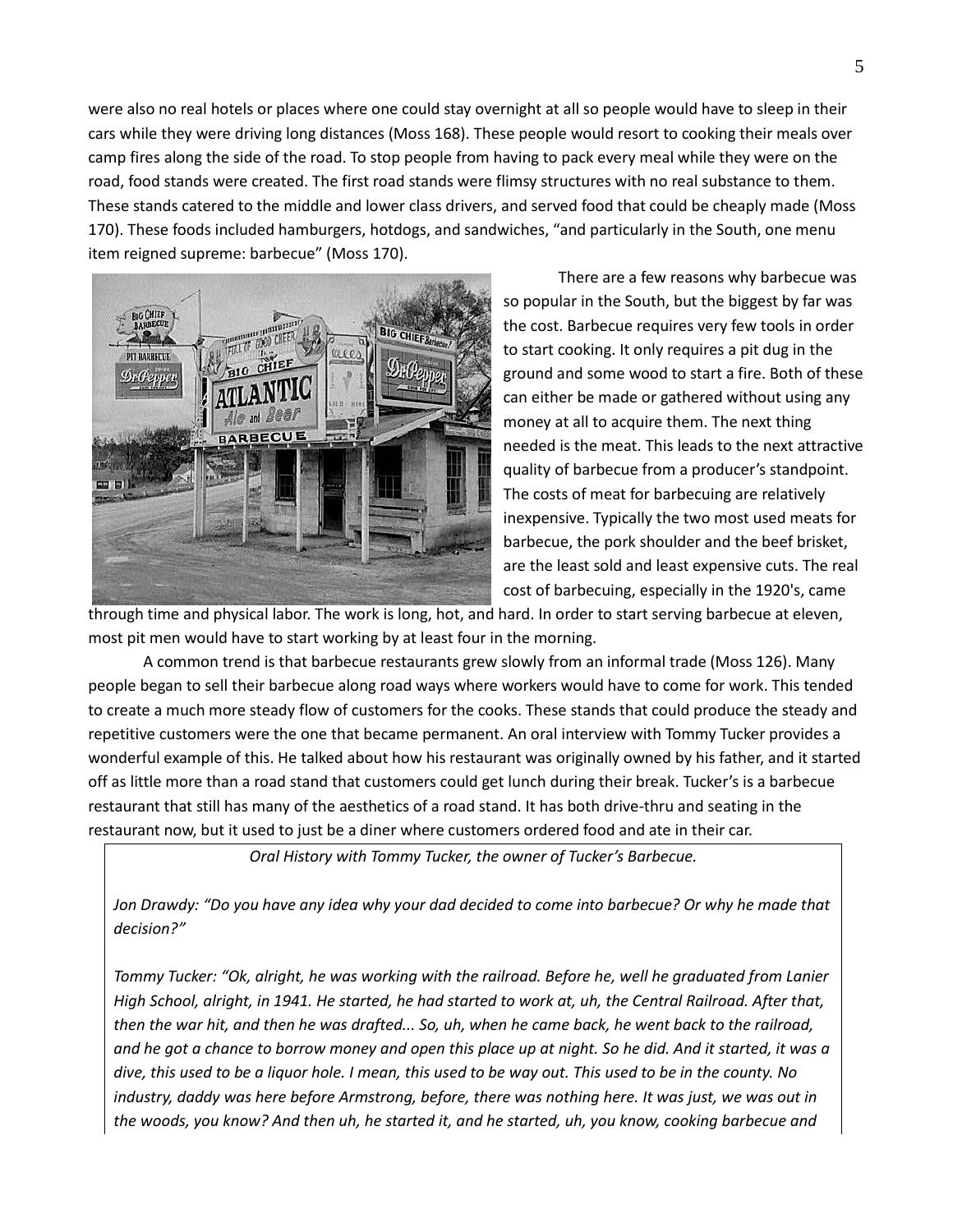were also no real hotels or places where one could stay overnight at all so people would have to sleep in their cars while they were driving long distances (Moss 168). These people would resort to cooking their meals over camp fires along the side of the road. To stop people from having to pack every meal while they were on the road, food stands were created. The first road stands were flimsy structures with no real substance to them. These stands catered to the middle and lower class drivers, and served food that could be cheaply made (Moss 170). These foods included hamburgers, hotdogs, and sandwiches, "and particularly in the South, one menu item reigned supreme: barbecue" (Moss 170).



There are a few reasons why barbecue was so popular in the South, but the biggest by far was the cost. Barbecue requires very few tools in order to start cooking. It only requires a pit dug in the ground and some wood to start a fire. Both of these can either be made or gathered without using any money at all to acquire them. The next thing needed is the meat. This leads to the next attractive quality of barbecue from a producer's standpoint. The costs of meat for barbecuing are relatively inexpensive. Typically the two most used meats for barbecue, the pork shoulder and the beef brisket, are the least sold and least expensive cuts. The real cost of barbecuing, especially in the 1920's, came

through time and physical labor. The work is long, hot, and hard. In order to start serving barbecue at eleven, most pit men would have to start working by at least four in the morning.

A common trend is that barbecue restaurants grew slowly from an informal trade (Moss 126). Many people began to sell their barbecue along road ways where workers would have to come for work. This tended to create a much more steady flow of customers for the cooks. These stands that could produce the steady and repetitive customers were the one that became permanent. An oral interview with Tommy Tucker provides a wonderful example of this. He talked about how his restaurant was originally owned by his father, and it started off as little more than a road stand that customers could get lunch during their break. Tucker's is a barbecue restaurant that still has many of the aesthetics of a road stand. It has both drive-thru and seating in the restaurant now, but it used to just be a diner where customers ordered food and ate in their car.

*Oral History with Tommy Tucker, the owner of Tucker's Barbecue.*

*Jon Drawdy: "Do you have any idea why your dad decided to come into barbecue? Or why he made that decision?"*

*Tommy Tucker: "Ok, alright, he was working with the railroad. Before he, well he graduated from Lanier High School, alright, in 1941. He started, he had started to work at, uh, the Central Railroad. After that, then the war hit, and then he was drafted... So, uh, when he came back, he went back to the railroad, and he got a chance to borrow money and open this place up at night. So he did. And it started, it was a dive, this used to be a liquor hole. I mean, this used to be way out. This used to be in the county. No industry, daddy was here before Armstrong, before, there was nothing here. It was just, we was out in the woods, you know? And then uh, he started it, and he started, uh, you know, cooking barbecue and*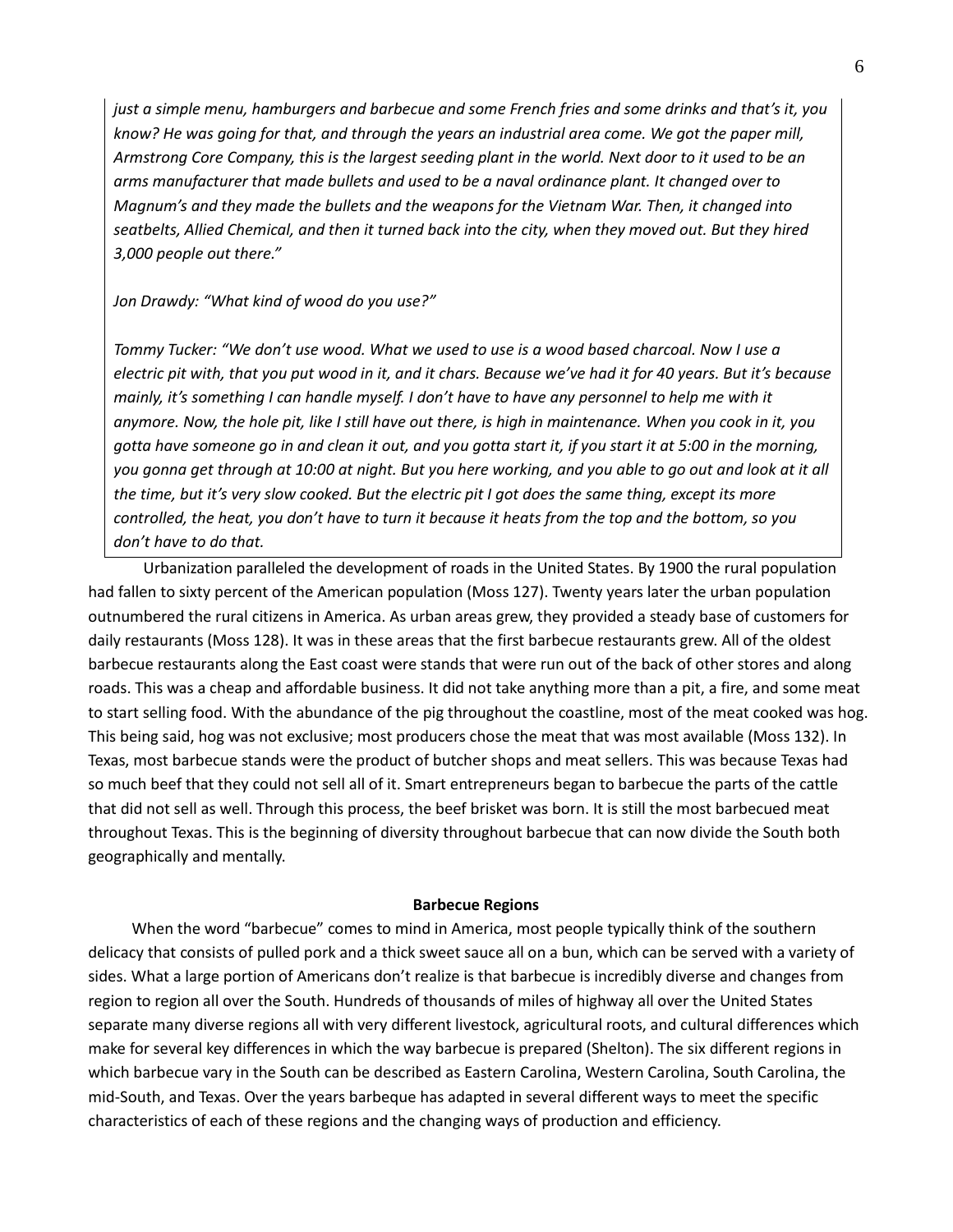*just a simple menu, hamburgers and barbecue and some French fries and some drinks and that's it, you know? He was going for that, and through the years an industrial area come. We got the paper mill, Armstrong Core Company, this is the largest seeding plant in the world. Next door to it used to be an arms manufacturer that made bullets and used to be a naval ordinance plant. It changed over to Magnum's and they made the bullets and the weapons for the Vietnam War. Then, it changed into seatbelts, Allied Chemical, and then it turned back into the city, when they moved out. But they hired 3,000 people out there."*

## *Jon Drawdy: "What kind of wood do you use?"*

*Tommy Tucker: "We don't use wood. What we used to use is a wood based charcoal. Now I use a electric pit with, that you put wood in it, and it chars. Because we've had it for 40 years. But it's because mainly, it's something I can handle myself. I don't have to have any personnel to help me with it anymore. Now, the hole pit, like I still have out there, is high in maintenance. When you cook in it, you gotta have someone go in and clean it out, and you gotta start it, if you start it at 5:00 in the morning, you gonna get through at 10:00 at night. But you here working, and you able to go out and look at it all the time, but it's very slow cooked. But the electric pit I got does the same thing, except its more controlled, the heat, you don't have to turn it because it heats from the top and the bottom, so you don't have to do that.*

Urbanization paralleled the development of roads in the United States. By 1900 the rural population had fallen to sixty percent of the American population (Moss 127). Twenty years later the urban population outnumbered the rural citizens in America. As urban areas grew, they provided a steady base of customers for daily restaurants (Moss 128). It was in these areas that the first barbecue restaurants grew. All of the oldest barbecue restaurants along the East coast were stands that were run out of the back of other stores and along roads. This was a cheap and affordable business. It did not take anything more than a pit, a fire, and some meat to start selling food. With the abundance of the pig throughout the coastline, most of the meat cooked was hog. This being said, hog was not exclusive; most producers chose the meat that was most available (Moss 132). In Texas, most barbecue stands were the product of butcher shops and meat sellers. This was because Texas had so much beef that they could not sell all of it. Smart entrepreneurs began to barbecue the parts of the cattle that did not sell as well. Through this process, the beef brisket was born. It is still the most barbecued meat throughout Texas. This is the beginning of diversity throughout barbecue that can now divide the South both geographically and mentally.

#### **Barbecue Regions**

When the word "barbecue" comes to mind in America, most people typically think of the southern delicacy that consists of pulled pork and a thick sweet sauce all on a bun, which can be served with a variety of sides. What a large portion of Americans don't realize is that barbecue is incredibly diverse and changes from region to region all over the South. Hundreds of thousands of miles of highway all over the United States separate many diverse regions all with very different livestock, agricultural roots, and cultural differences which make for several key differences in which the way barbecue is prepared (Shelton). The six different regions in which barbecue vary in the South can be described as Eastern Carolina, Western Carolina, South Carolina, the mid-South, and Texas. Over the years barbeque has adapted in several different ways to meet the specific characteristics of each of these regions and the changing ways of production and efficiency.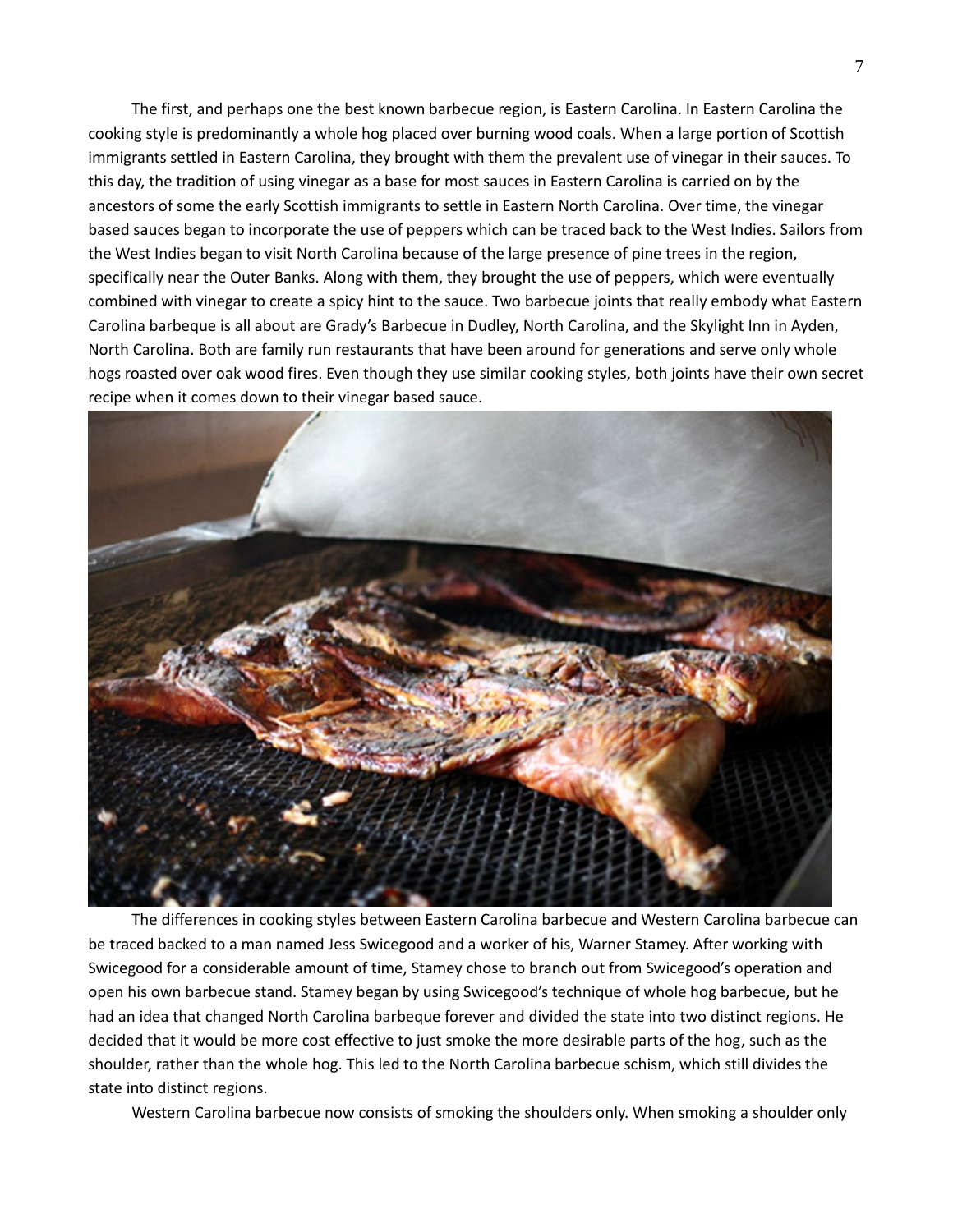The first, and perhaps one the best known barbecue region, is Eastern Carolina. In Eastern Carolina the cooking style is predominantly a whole hog placed over burning wood coals. When a large portion of Scottish immigrants settled in Eastern Carolina, they brought with them the prevalent use of vinegar in their sauces. To this day, the tradition of using vinegar as a base for most sauces in Eastern Carolina is carried on by the ancestors of some the early Scottish immigrants to settle in Eastern North Carolina. Over time, the vinegar based sauces began to incorporate the use of peppers which can be traced back to the West Indies. Sailors from the West Indies began to visit North Carolina because of the large presence of pine trees in the region, specifically near the Outer Banks. Along with them, they brought the use of peppers, which were eventually combined with vinegar to create a spicy hint to the sauce. Two barbecue joints that really embody what Eastern Carolina barbeque is all about are Grady's Barbecue in Dudley, North Carolina, and the Skylight Inn in Ayden, North Carolina. Both are family run restaurants that have been around for generations and serve only whole hogs roasted over oak wood fires. Even though they use similar cooking styles, both joints have their own secret recipe when it comes down to their vinegar based sauce.



The differences in cooking styles between Eastern Carolina barbecue and Western Carolina barbecue can be traced backed to a man named Jess Swicegood and a worker of his, Warner Stamey. After working with Swicegood for a considerable amount of time, Stamey chose to branch out from Swicegood's operation and open his own barbecue stand. Stamey began by using Swicegood's technique of whole hog barbecue, but he had an idea that changed North Carolina barbeque forever and divided the state into two distinct regions. He decided that it would be more cost effective to just smoke the more desirable parts of the hog, such as the shoulder, rather than the whole hog. This led to the North Carolina barbecue schism, which still divides the state into distinct regions.

Western Carolina barbecue now consists of smoking the shoulders only. When smoking a shoulder only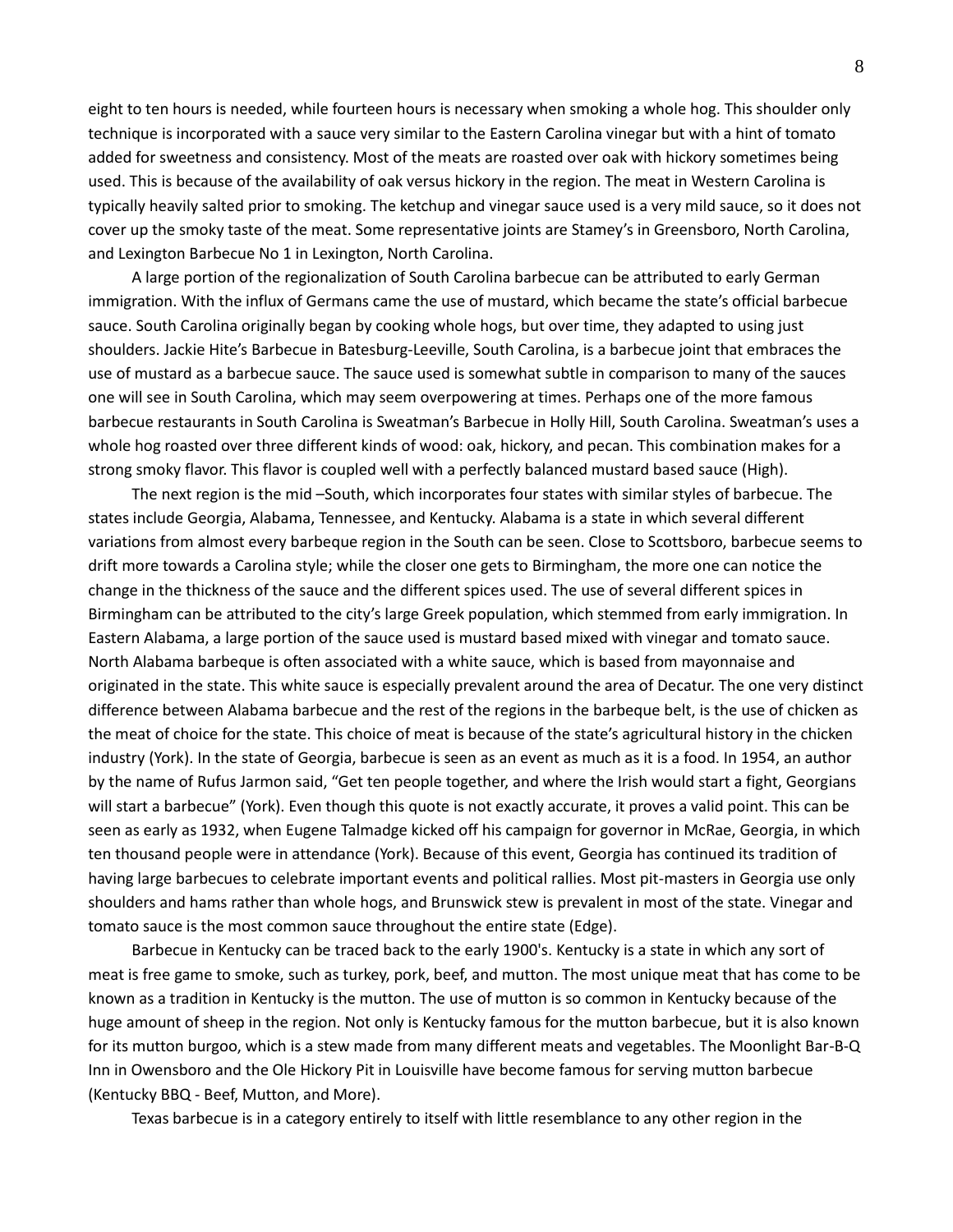eight to ten hours is needed, while fourteen hours is necessary when smoking a whole hog. This shoulder only technique is incorporated with a sauce very similar to the Eastern Carolina vinegar but with a hint of tomato added for sweetness and consistency. Most of the meats are roasted over oak with hickory sometimes being used. This is because of the availability of oak versus hickory in the region. The meat in Western Carolina is typically heavily salted prior to smoking. The ketchup and vinegar sauce used is a very mild sauce, so it does not cover up the smoky taste of the meat. Some representative joints are Stamey's in Greensboro, North Carolina, and Lexington Barbecue No 1 in Lexington, North Carolina.

A large portion of the regionalization of South Carolina barbecue can be attributed to early German immigration. With the influx of Germans came the use of mustard, which became the state's official barbecue sauce. South Carolina originally began by cooking whole hogs, but over time, they adapted to using just shoulders. Jackie Hite's Barbecue in Batesburg-Leeville, South Carolina, is a barbecue joint that embraces the use of mustard as a barbecue sauce. The sauce used is somewhat subtle in comparison to many of the sauces one will see in South Carolina, which may seem overpowering at times. Perhaps one of the more famous barbecue restaurants in South Carolina is Sweatman's Barbecue in Holly Hill, South Carolina. Sweatman's uses a whole hog roasted over three different kinds of wood: oak, hickory, and pecan. This combination makes for a strong smoky flavor. This flavor is coupled well with a perfectly balanced mustard based sauce (High).

The next region is the mid –South, which incorporates four states with similar styles of barbecue. The states include Georgia, Alabama, Tennessee, and Kentucky. Alabama is a state in which several different variations from almost every barbeque region in the South can be seen. Close to Scottsboro, barbecue seems to drift more towards a Carolina style; while the closer one gets to Birmingham, the more one can notice the change in the thickness of the sauce and the different spices used. The use of several different spices in Birmingham can be attributed to the city's large Greek population, which stemmed from early immigration. In Eastern Alabama, a large portion of the sauce used is mustard based mixed with vinegar and tomato sauce. North Alabama barbeque is often associated with a white sauce, which is based from mayonnaise and originated in the state. This white sauce is especially prevalent around the area of Decatur. The one very distinct difference between Alabama barbecue and the rest of the regions in the barbeque belt, is the use of chicken as the meat of choice for the state. This choice of meat is because of the state's agricultural history in the chicken industry (York). In the state of Georgia, barbecue is seen as an event as much as it is a food. In 1954, an author by the name of Rufus Jarmon said, "Get ten people together, and where the Irish would start a fight, Georgians will start a barbecue" (York). Even though this quote is not exactly accurate, it proves a valid point. This can be seen as early as 1932, when Eugene Talmadge kicked off his campaign for governor in McRae, Georgia, in which ten thousand people were in attendance (York). Because of this event, Georgia has continued its tradition of having large barbecues to celebrate important events and political rallies. Most pit-masters in Georgia use only shoulders and hams rather than whole hogs, and Brunswick stew is prevalent in most of the state. Vinegar and tomato sauce is the most common sauce throughout the entire state (Edge).

Barbecue in Kentucky can be traced back to the early 1900's. Kentucky is a state in which any sort of meat is free game to smoke, such as turkey, pork, beef, and mutton. The most unique meat that has come to be known as a tradition in Kentucky is the mutton. The use of mutton is so common in Kentucky because of the huge amount of sheep in the region. Not only is Kentucky famous for the mutton barbecue, but it is also known for its mutton burgoo, which is a stew made from many different meats and vegetables. The Moonlight Bar-B-Q Inn in Owensboro and the Ole Hickory Pit in Louisville have become famous for serving mutton barbecue (Kentucky BBQ - Beef, Mutton, and More).

Texas barbecue is in a category entirely to itself with little resemblance to any other region in the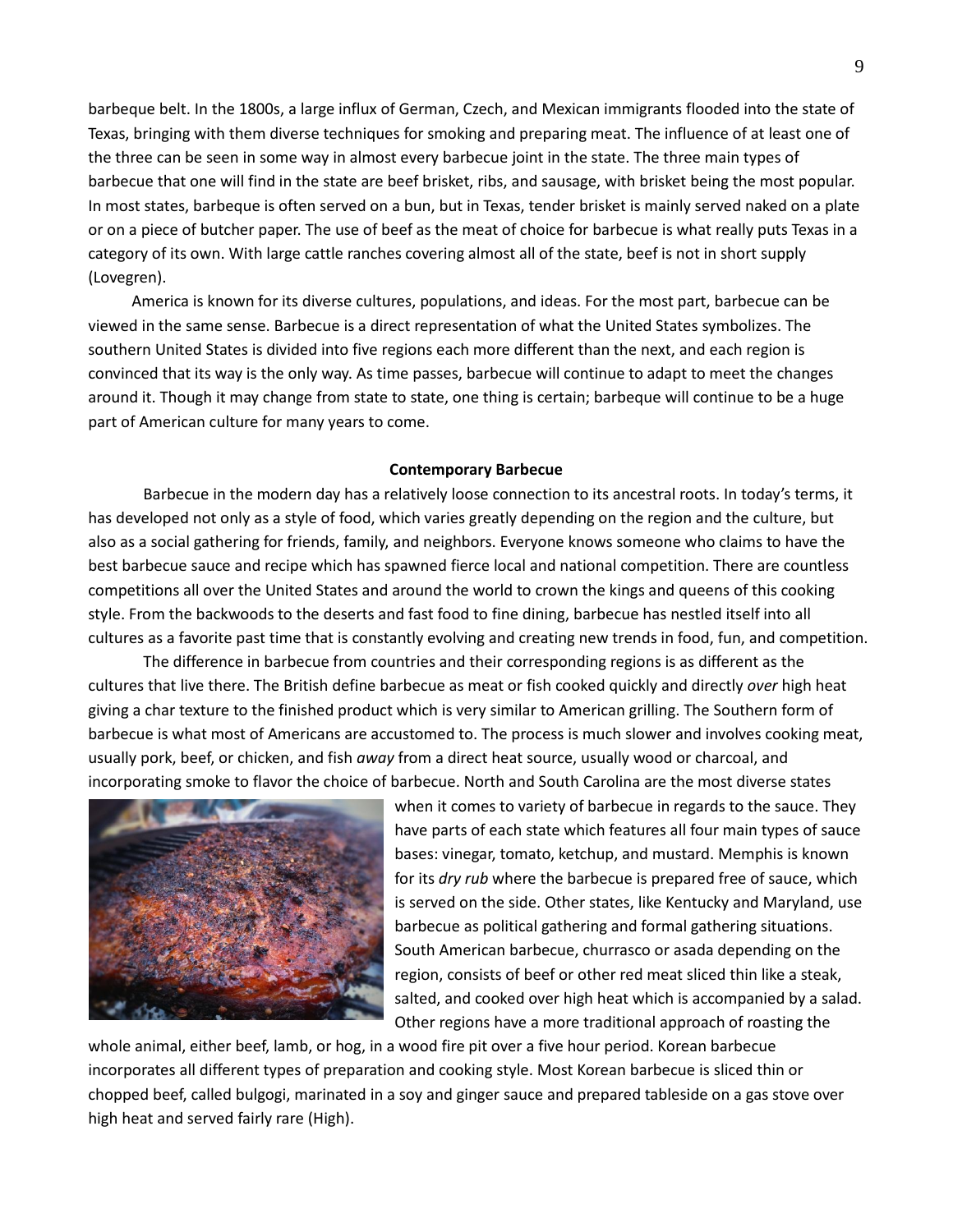barbeque belt. In the 1800s, a large influx of German, Czech, and Mexican immigrants flooded into the state of Texas, bringing with them diverse techniques for smoking and preparing meat. The influence of at least one of the three can be seen in some way in almost every barbecue joint in the state. The three main types of barbecue that one will find in the state are beef brisket, ribs, and sausage, with brisket being the most popular. In most states, barbeque is often served on a bun, but in Texas, tender brisket is mainly served naked on a plate or on a piece of butcher paper. The use of beef as the meat of choice for barbecue is what really puts Texas in a category of its own. With large cattle ranches covering almost all of the state, beef is not in short supply (Lovegren).

America is known for its diverse cultures, populations, and ideas. For the most part, barbecue can be viewed in the same sense. Barbecue is a direct representation of what the United States symbolizes. The southern United States is divided into five regions each more different than the next, and each region is convinced that its way is the only way. As time passes, barbecue will continue to adapt to meet the changes around it. Though it may change from state to state, one thing is certain; barbeque will continue to be a huge part of American culture for many years to come.

## **Contemporary Barbecue**

Barbecue in the modern day has a relatively loose connection to its ancestral roots. In today's terms, it has developed not only as a style of food, which varies greatly depending on the region and the culture, but also as a social gathering for friends, family, and neighbors. Everyone knows someone who claims to have the best barbecue sauce and recipe which has spawned fierce local and national competition. There are countless competitions all over the United States and around the world to crown the kings and queens of this cooking style. From the backwoods to the deserts and fast food to fine dining, barbecue has nestled itself into all cultures as a favorite past time that is constantly evolving and creating new trends in food, fun, and competition.

The difference in barbecue from countries and their corresponding regions is as different as the cultures that live there. The British define barbecue as meat or fish cooked quickly and directly *over* high heat giving a char texture to the finished product which is very similar to American grilling. The Southern form of barbecue is what most of Americans are accustomed to. The process is much slower and involves cooking meat, usually pork, beef, or chicken, and fish *away* from a direct heat source, usually wood or charcoal, and incorporating smoke to flavor the choice of barbecue. North and South Carolina are the most diverse states



when it comes to variety of barbecue in regards to the sauce. They have parts of each state which features all four main types of sauce bases: vinegar, tomato, ketchup, and mustard. Memphis is known for its *dry rub* where the barbecue is prepared free of sauce, which is served on the side. Other states, like Kentucky and Maryland, use barbecue as political gathering and formal gathering situations. South American barbecue, churrasco or asada depending on the region, consists of beef or other red meat sliced thin like a steak, salted, and cooked over high heat which is accompanied by a salad. Other regions have a more traditional approach of roasting the

whole animal, either beef, lamb, or hog, in a wood fire pit over a five hour period. Korean barbecue incorporates all different types of preparation and cooking style. Most Korean barbecue is sliced thin or chopped beef, called bulgogi, marinated in a soy and ginger sauce and prepared tableside on a gas stove over high heat and served fairly rare (High).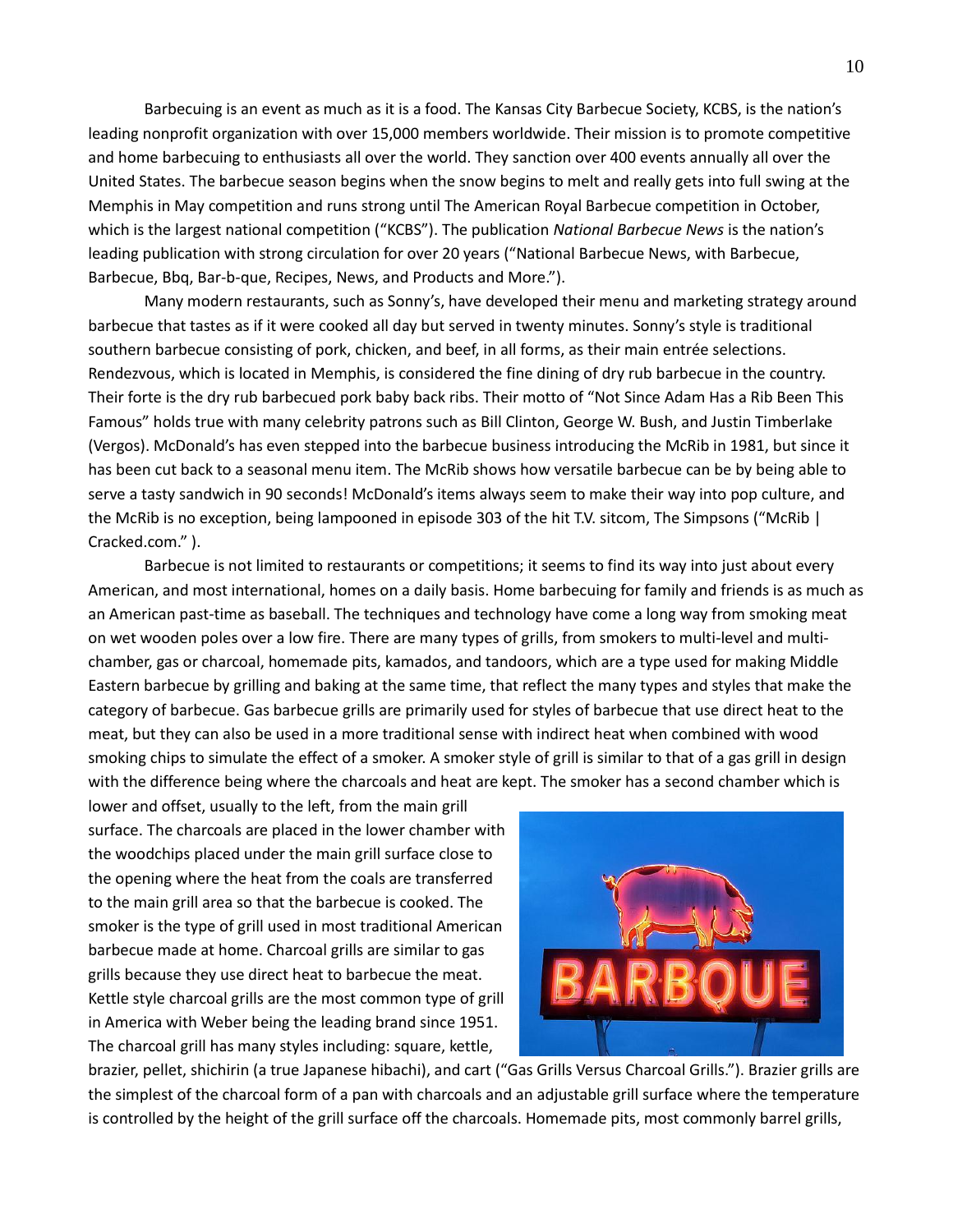Barbecuing is an event as much as it is a food. The Kansas City Barbecue Society, KCBS, is the nation's leading nonprofit organization with over 15,000 members worldwide. Their mission is to promote competitive and home barbecuing to enthusiasts all over the world. They sanction over 400 events annually all over the United States. The barbecue season begins when the snow begins to melt and really gets into full swing at the Memphis in May competition and runs strong until The American Royal Barbecue competition in October, which is the largest national competition ("KCBS"). The publication *National Barbecue News* is the nation's leading publication with strong circulation for over 20 years ("National Barbecue News, with Barbecue, Barbecue, Bbq, Bar-b-que, Recipes, News, and Products and More.").

Many modern restaurants, such as Sonny's, have developed their menu and marketing strategy around barbecue that tastes as if it were cooked all day but served in twenty minutes. Sonny's style is traditional southern barbecue consisting of pork, chicken, and beef, in all forms, as their main entrée selections. Rendezvous, which is located in Memphis, is considered the fine dining of dry rub barbecue in the country. Their forte is the dry rub barbecued pork baby back ribs. Their motto of "Not Since Adam Has a Rib Been This Famous" holds true with many celebrity patrons such as Bill Clinton, George W. Bush, and Justin Timberlake (Vergos). McDonald's has even stepped into the barbecue business introducing the McRib in 1981, but since it has been cut back to a seasonal menu item. The McRib shows how versatile barbecue can be by being able to serve a tasty sandwich in 90 seconds! McDonald's items always seem to make their way into pop culture, and the McRib is no exception, being lampooned in episode 303 of the hit T.V. sitcom, The Simpsons ("McRib | Cracked.com." ).

Barbecue is not limited to restaurants or competitions; it seems to find its way into just about every American, and most international, homes on a daily basis. Home barbecuing for family and friends is as much as an American past-time as baseball. The techniques and technology have come a long way from smoking meat on wet wooden poles over a low fire. There are many types of grills, from smokers to multi-level and multichamber, gas or charcoal, homemade pits, kamados, and tandoors, which are a type used for making Middle Eastern barbecue by grilling and baking at the same time, that reflect the many types and styles that make the category of barbecue. Gas barbecue grills are primarily used for styles of barbecue that use direct heat to the meat, but they can also be used in a more traditional sense with indirect heat when combined with wood smoking chips to simulate the effect of a smoker. A smoker style of grill is similar to that of a gas grill in design with the difference being where the charcoals and heat are kept. The smoker has a second chamber which is

lower and offset, usually to the left, from the main grill surface. The charcoals are placed in the lower chamber with the woodchips placed under the main grill surface close to the opening where the heat from the coals are transferred to the main grill area so that the barbecue is cooked. The smoker is the type of grill used in most traditional American barbecue made at home. Charcoal grills are similar to gas grills because they use direct heat to barbecue the meat. Kettle style charcoal grills are the most common type of grill in America with Weber being the leading brand since 1951. The charcoal grill has many styles including: square, kettle,



brazier, pellet, shichirin (a true Japanese hibachi), and cart ("Gas Grills Versus Charcoal Grills."). Brazier grills are the simplest of the charcoal form of a pan with charcoals and an adjustable grill surface where the temperature is controlled by the height of the grill surface off the charcoals. Homemade pits, most commonly barrel grills,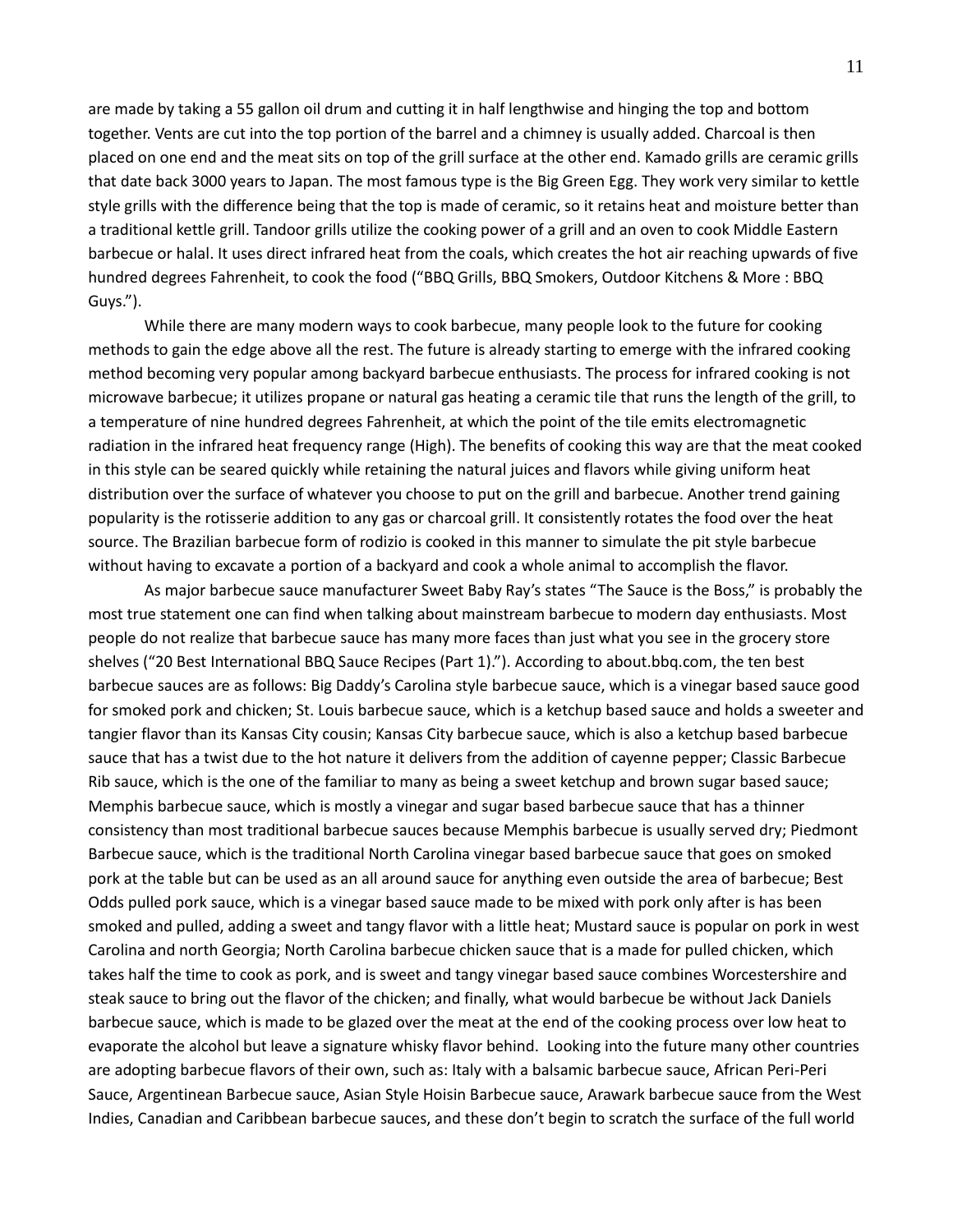are made by taking a 55 gallon oil drum and cutting it in half lengthwise and hinging the top and bottom together. Vents are cut into the top portion of the barrel and a chimney is usually added. Charcoal is then placed on one end and the meat sits on top of the grill surface at the other end. Kamado grills are ceramic grills that date back 3000 years to Japan. The most famous type is the Big Green Egg. They work very similar to kettle style grills with the difference being that the top is made of ceramic, so it retains heat and moisture better than a traditional kettle grill. Tandoor grills utilize the cooking power of a grill and an oven to cook Middle Eastern barbecue or halal. It uses direct infrared heat from the coals, which creates the hot air reaching upwards of five hundred degrees Fahrenheit, to cook the food ("BBQ Grills, BBQ Smokers, Outdoor Kitchens & More : BBQ Guys.").

While there are many modern ways to cook barbecue, many people look to the future for cooking methods to gain the edge above all the rest. The future is already starting to emerge with the infrared cooking method becoming very popular among backyard barbecue enthusiasts. The process for infrared cooking is not microwave barbecue; it utilizes propane or natural gas heating a ceramic tile that runs the length of the grill, to a temperature of nine hundred degrees Fahrenheit, at which the point of the tile emits electromagnetic radiation in the infrared heat frequency range (High). The benefits of cooking this way are that the meat cooked in this style can be seared quickly while retaining the natural juices and flavors while giving uniform heat distribution over the surface of whatever you choose to put on the grill and barbecue. Another trend gaining popularity is the rotisserie addition to any gas or charcoal grill. It consistently rotates the food over the heat source. The Brazilian barbecue form of rodizio is cooked in this manner to simulate the pit style barbecue without having to excavate a portion of a backyard and cook a whole animal to accomplish the flavor.

As major barbecue sauce manufacturer Sweet Baby Ray's states "The Sauce is the Boss," is probably the most true statement one can find when talking about mainstream barbecue to modern day enthusiasts. Most people do not realize that barbecue sauce has many more faces than just what you see in the grocery store shelves ("20 Best International BBQ Sauce Recipes (Part 1)."). According to about.bbq.com, the ten best barbecue sauces are as follows: Big Daddy's Carolina style barbecue sauce, which is a vinegar based sauce good for smoked pork and chicken; St. Louis barbecue sauce, which is a ketchup based sauce and holds a sweeter and tangier flavor than its Kansas City cousin; Kansas City barbecue sauce, which is also a ketchup based barbecue sauce that has a twist due to the hot nature it delivers from the addition of cayenne pepper; Classic Barbecue Rib sauce, which is the one of the familiar to many as being a sweet ketchup and brown sugar based sauce; Memphis barbecue sauce, which is mostly a vinegar and sugar based barbecue sauce that has a thinner consistency than most traditional barbecue sauces because Memphis barbecue is usually served dry; Piedmont Barbecue sauce, which is the traditional North Carolina vinegar based barbecue sauce that goes on smoked pork at the table but can be used as an all around sauce for anything even outside the area of barbecue; Best Odds pulled pork sauce, which is a vinegar based sauce made to be mixed with pork only after is has been smoked and pulled, adding a sweet and tangy flavor with a little heat; Mustard sauce is popular on pork in west Carolina and north Georgia; North Carolina barbecue chicken sauce that is a made for pulled chicken, which takes half the time to cook as pork, and is sweet and tangy vinegar based sauce combines Worcestershire and steak sauce to bring out the flavor of the chicken; and finally, what would barbecue be without Jack Daniels barbecue sauce, which is made to be glazed over the meat at the end of the cooking process over low heat to evaporate the alcohol but leave a signature whisky flavor behind. Looking into the future many other countries are adopting barbecue flavors of their own, such as: Italy with a balsamic barbecue sauce, African Peri-Peri Sauce, Argentinean Barbecue sauce, Asian Style Hoisin Barbecue sauce, Arawark barbecue sauce from the West Indies, Canadian and Caribbean barbecue sauces, and these don't begin to scratch the surface of the full world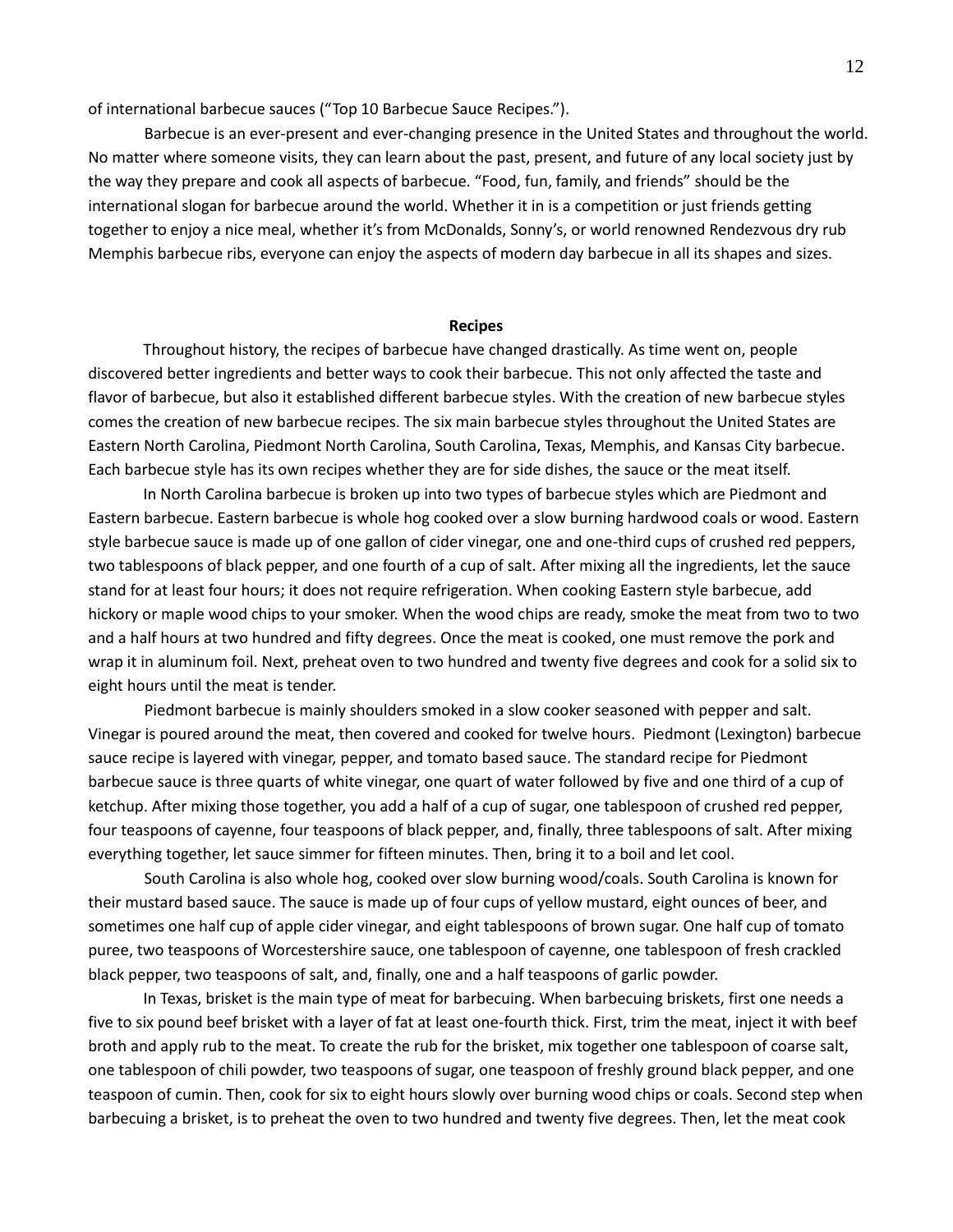of international barbecue sauces ("Top 10 Barbecue Sauce Recipes.").

Barbecue is an ever-present and ever-changing presence in the United States and throughout the world. No matter where someone visits, they can learn about the past, present, and future of any local society just by the way they prepare and cook all aspects of barbecue. "Food, fun, family, and friends" should be the international slogan for barbecue around the world. Whether it in is a competition or just friends getting together to enjoy a nice meal, whether it's from McDonalds, Sonny's, or world renowned Rendezvous dry rub Memphis barbecue ribs, everyone can enjoy the aspects of modern day barbecue in all its shapes and sizes.

#### **Recipes**

Throughout history, the recipes of barbecue have changed drastically. As time went on, people discovered better ingredients and better ways to cook their barbecue. This not only affected the taste and flavor of barbecue, but also it established different barbecue styles. With the creation of new barbecue styles comes the creation of new barbecue recipes. The six main barbecue styles throughout the United States are Eastern North Carolina, Piedmont North Carolina, South Carolina, Texas, Memphis, and Kansas City barbecue. Each barbecue style has its own recipes whether they are for side dishes, the sauce or the meat itself.

In North Carolina barbecue is broken up into two types of barbecue styles which are Piedmont and Eastern barbecue. Eastern barbecue is whole hog cooked over a slow burning hardwood coals or wood. Eastern style barbecue sauce is made up of one gallon of cider vinegar, one and one-third cups of crushed red peppers, two tablespoons of black pepper, and one fourth of a cup of salt. After mixing all the ingredients, let the sauce stand for at least four hours; it does not require refrigeration. When cooking Eastern style barbecue, add hickory or maple wood chips to your smoker. When the wood chips are ready, smoke the meat from two to two and a half hours at two hundred and fifty degrees. Once the meat is cooked, one must remove the pork and wrap it in aluminum foil. Next, preheat oven to two hundred and twenty five degrees and cook for a solid six to eight hours until the meat is tender.

Piedmont barbecue is mainly shoulders smoked in a slow cooker seasoned with pepper and salt. Vinegar is poured around the meat, then covered and cooked for twelve hours. Piedmont (Lexington) barbecue sauce recipe is layered with vinegar, pepper, and tomato based sauce. The standard recipe for Piedmont barbecue sauce is three quarts of white vinegar, one quart of water followed by five and one third of a cup of ketchup. After mixing those together, you add a half of a cup of sugar, one tablespoon of crushed red pepper, four teaspoons of cayenne, four teaspoons of black pepper, and, finally, three tablespoons of salt. After mixing everything together, let sauce simmer for fifteen minutes. Then, bring it to a boil and let cool.

South Carolina is also whole hog, cooked over slow burning wood/coals. South Carolina is known for their mustard based sauce. The sauce is made up of four cups of yellow mustard, eight ounces of beer, and sometimes one half cup of apple cider vinegar, and eight tablespoons of brown sugar. One half cup of tomato puree, two teaspoons of Worcestershire sauce, one tablespoon of cayenne, one tablespoon of fresh crackled black pepper, two teaspoons of salt, and, finally, one and a half teaspoons of garlic powder.

In Texas, brisket is the main type of meat for barbecuing. When barbecuing briskets, first one needs a five to six pound beef brisket with a layer of fat at least one-fourth thick. First, trim the meat, inject it with beef broth and apply rub to the meat. To create the rub for the brisket, mix together one tablespoon of coarse salt, one tablespoon of chili powder, two teaspoons of sugar, one teaspoon of freshly ground black pepper, and one teaspoon of cumin. Then, cook for six to eight hours slowly over burning wood chips or coals. Second step when barbecuing a brisket, is to preheat the oven to two hundred and twenty five degrees. Then, let the meat cook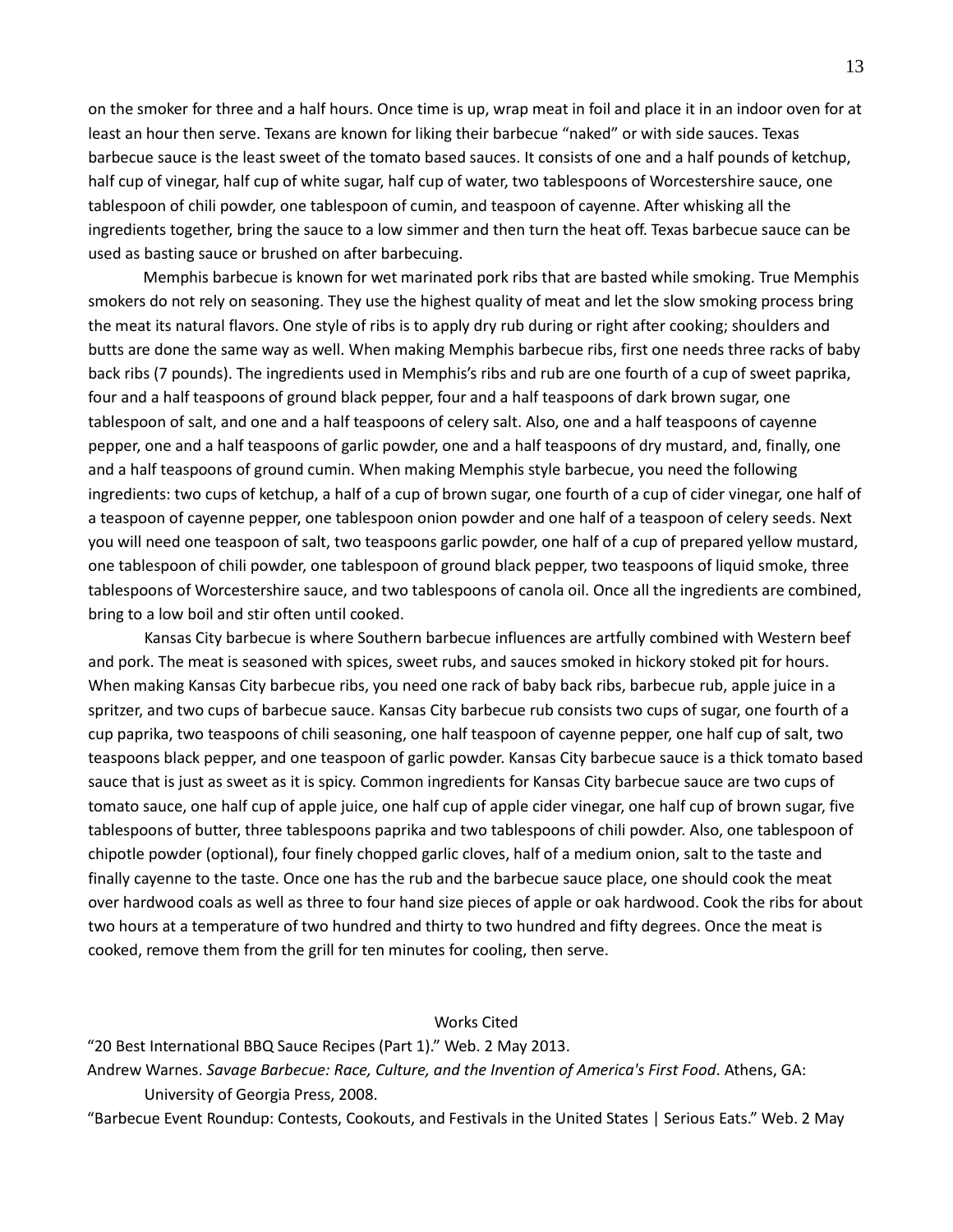on the smoker for three and a half hours. Once time is up, wrap meat in foil and place it in an indoor oven for at least an hour then serve. Texans are known for liking their barbecue "naked" or with side sauces. Texas barbecue sauce is the least sweet of the tomato based sauces. It consists of one and a half pounds of ketchup, half cup of vinegar, half cup of white sugar, half cup of water, two tablespoons of Worcestershire sauce, one tablespoon of chili powder, one tablespoon of cumin, and teaspoon of cayenne. After whisking all the ingredients together, bring the sauce to a low simmer and then turn the heat off. Texas barbecue sauce can be used as basting sauce or brushed on after barbecuing.

Memphis barbecue is known for wet marinated pork ribs that are basted while smoking. True Memphis smokers do not rely on seasoning. They use the highest quality of meat and let the slow smoking process bring the meat its natural flavors. One style of ribs is to apply dry rub during or right after cooking; shoulders and butts are done the same way as well. When making Memphis barbecue ribs, first one needs three racks of baby back ribs (7 pounds). The ingredients used in Memphis's ribs and rub are one fourth of a cup of sweet paprika, four and a half teaspoons of ground black pepper, four and a half teaspoons of dark brown sugar, one tablespoon of salt, and one and a half teaspoons of celery salt. Also, one and a half teaspoons of cayenne pepper, one and a half teaspoons of garlic powder, one and a half teaspoons of dry mustard, and, finally, one and a half teaspoons of ground cumin. When making Memphis style barbecue, you need the following ingredients: two cups of ketchup, a half of a cup of brown sugar, one fourth of a cup of cider vinegar, one half of a teaspoon of cayenne pepper, one tablespoon onion powder and one half of a teaspoon of celery seeds. Next you will need one teaspoon of salt, two teaspoons garlic powder, one half of a cup of prepared yellow mustard, one tablespoon of chili powder, one tablespoon of ground black pepper, two teaspoons of liquid smoke, three tablespoons of Worcestershire sauce, and two tablespoons of canola oil. Once all the ingredients are combined, bring to a low boil and stir often until cooked.

Kansas City barbecue is where Southern barbecue influences are artfully combined with Western beef and pork. The meat is seasoned with spices, sweet rubs, and sauces smoked in hickory stoked pit for hours. When making Kansas City barbecue ribs, you need one rack of baby back ribs, barbecue rub, apple juice in a spritzer, and two cups of barbecue sauce. Kansas City barbecue rub consists two cups of sugar, one fourth of a cup paprika, two teaspoons of chili seasoning, one half teaspoon of cayenne pepper, one half cup of salt, two teaspoons black pepper, and one teaspoon of garlic powder. Kansas City barbecue sauce is a thick tomato based sauce that is just as sweet as it is spicy. Common ingredients for Kansas City barbecue sauce are two cups of tomato sauce, one half cup of apple juice, one half cup of apple cider vinegar, one half cup of brown sugar, five tablespoons of butter, three tablespoons paprika and two tablespoons of chili powder. Also, one tablespoon of chipotle powder (optional), four finely chopped garlic cloves, half of a medium onion, salt to the taste and finally cayenne to the taste. Once one has the rub and the barbecue sauce place, one should cook the meat over hardwood coals as well as three to four hand size pieces of apple or oak hardwood. Cook the ribs for about two hours at a temperature of two hundred and thirty to two hundred and fifty degrees. Once the meat is cooked, remove them from the grill for ten minutes for cooling, then serve.

## Works Cited

"20 Best International BBQ Sauce Recipes (Part 1)." Web. 2 May 2013.

Andrew Warnes. *Savage Barbecue: Race, Culture, and the Invention of America's First Food*. Athens, GA: University of Georgia Press, 2008.

"Barbecue Event Roundup: Contests, Cookouts, and Festivals in the United States | Serious Eats." Web. 2 May